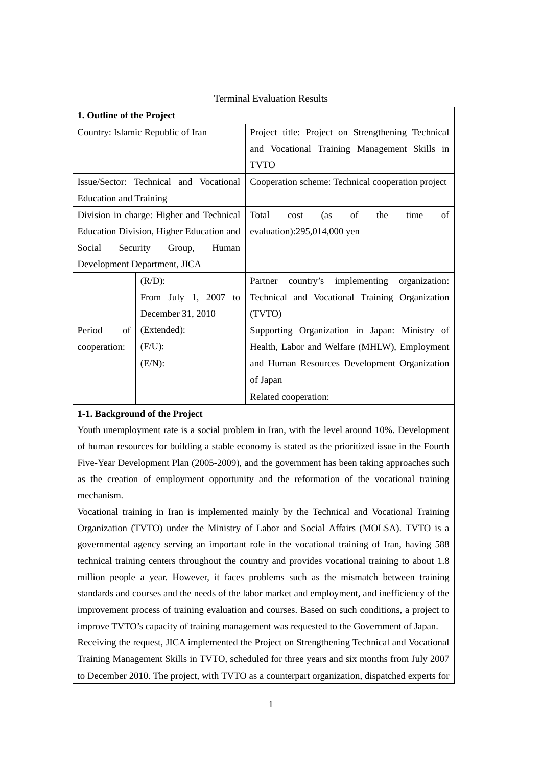| 1. Outline of the Project                |                         |                                                    |  |  |
|------------------------------------------|-------------------------|----------------------------------------------------|--|--|
| Country: Islamic Republic of Iran        |                         | Project title: Project on Strengthening Technical  |  |  |
|                                          |                         | and Vocational Training Management Skills in       |  |  |
|                                          |                         | <b>TVTO</b>                                        |  |  |
| Issue/Sector: Technical and Vocational   |                         | Cooperation scheme: Technical cooperation project  |  |  |
| <b>Education and Training</b>            |                         |                                                    |  |  |
| Division in charge: Higher and Technical |                         | Total<br>of<br>the<br>of<br>time<br>(as<br>cost    |  |  |
| Education Division, Higher Education and |                         | evaluation): $295,014,000$ yen                     |  |  |
| Social<br>Security<br>Human<br>Group,    |                         |                                                    |  |  |
| Development Department, JICA             |                         |                                                    |  |  |
|                                          | $(R/D)$ :               | country's implementing<br>Partner<br>organization: |  |  |
|                                          | From July 1, 2007<br>to | Technical and Vocational Training Organization     |  |  |
|                                          | December 31, 2010       | (TVTO)                                             |  |  |
| Period<br>of                             | (Extended):             | Supporting Organization in Japan: Ministry of      |  |  |
| cooperation:                             | $(F/U)$ :               | Health, Labor and Welfare (MHLW), Employment       |  |  |
|                                          | (E/N):                  | and Human Resources Development Organization       |  |  |
|                                          |                         | of Japan                                           |  |  |
|                                          |                         | Related cooperation:                               |  |  |

# Terminal Evaluation Results

# **1-1. Background of the Project**

Youth unemployment rate is a social problem in Iran, with the level around 10%. Development of human resources for building a stable economy is stated as the prioritized issue in the Fourth Five-Year Development Plan (2005-2009), and the government has been taking approaches such as the creation of employment opportunity and the reformation of the vocational training mechanism.

Vocational training in Iran is implemented mainly by the Technical and Vocational Training Organization (TVTO) under the Ministry of Labor and Social Affairs (MOLSA). TVTO is a governmental agency serving an important role in the vocational training of Iran, having 588 technical training centers throughout the country and provides vocational training to about 1.8 million people a year. However, it faces problems such as the mismatch between training standards and courses and the needs of the labor market and employment, and inefficiency of the improvement process of training evaluation and courses. Based on such conditions, a project to improve TVTO's capacity of training management was requested to the Government of Japan.

Receiving the request, JICA implemented the Project on Strengthening Technical and Vocational Training Management Skills in TVTO, scheduled for three years and six months from July 2007 to December 2010. The project, with TVTO as a counterpart organization, dispatched experts for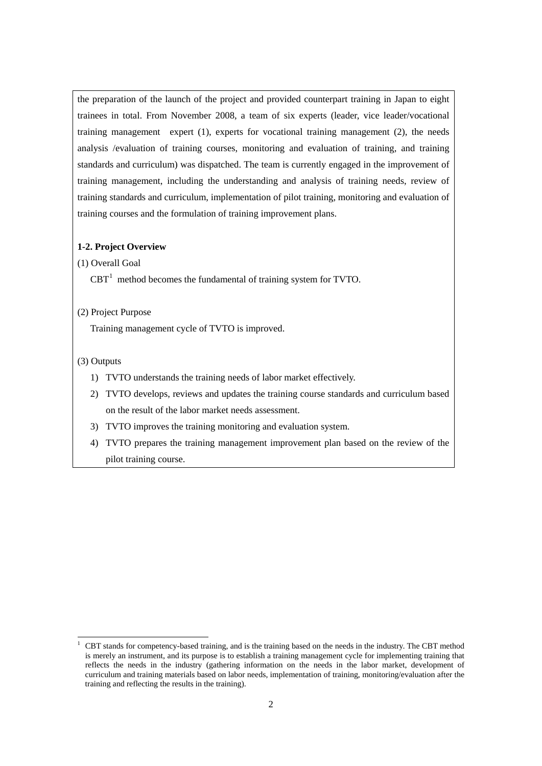the preparation of the launch of the project and provided counterpart training in Japan to eight trainees in total. From November 2008, a team of six experts (leader, vice leader/vocational training management expert (1), experts for vocational training management (2), the needs analysis /evaluation of training courses, monitoring and evaluation of training, and training standards and curriculum) was dispatched. The team is currently engaged in the improvement of training management, including the understanding and analysis of training needs, review of training standards and curriculum, implementation of pilot training, monitoring and evaluation of training courses and the formulation of training improvement plans.

#### **1-2. Project Overview**

# (1) Overall Goal

 $CBT<sup>1</sup>$  $CBT<sup>1</sup>$  $CBT<sup>1</sup>$  method becomes the fundamental of training system for TVTO.

# (2) Project Purpose

Training management cycle of TVTO is improved.

# (3) Outputs

- 1) TVTO understands the training needs of labor market effectively.
- 2) TVTO develops, reviews and updates the training course standards and curriculum based on the result of the labor market needs assessment.
- 3) TVTO improves the training monitoring and evaluation system.
- 4) TVTO prepares the training management improvement plan based on the review of the pilot training course.

<span id="page-1-0"></span><sup>&</sup>lt;sup>1</sup> CBT stands for competency-based training, and is the training based on the needs in the industry. The CBT method is merely an instrument, and its purpose is to establish a training management cycle for implementing training that reflects the needs in the industry (gathering information on the needs in the labor market, development of curriculum and training materials based on labor needs, implementation of training, monitoring/evaluation after the training and reflecting the results in the training).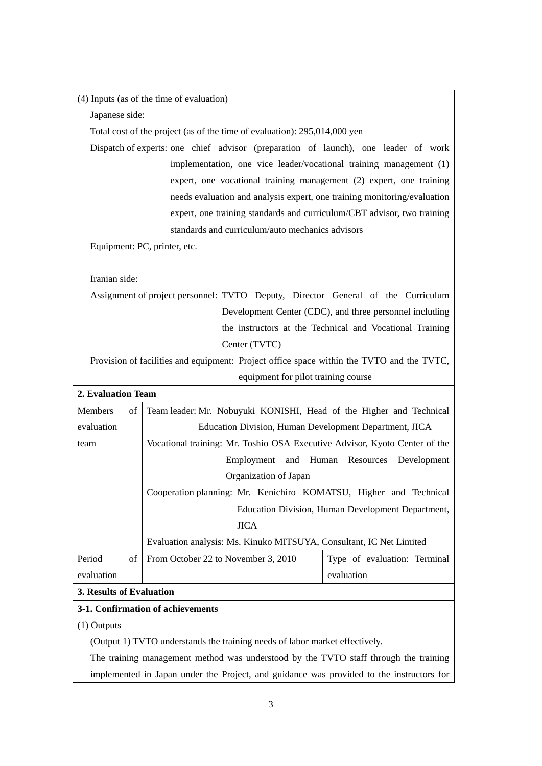|  |  |  | (4) Inputs (as of the time of evaluation) |
|--|--|--|-------------------------------------------|
|--|--|--|-------------------------------------------|

Japanese side:

Total cost of the project (as of the time of evaluation): 295,014,000 yen

Dispatch of experts: one chief advisor (preparation of launch), one leader of work implementation, one vice leader/vocational training management (1) expert, one vocational training management (2) expert, one training needs evaluation and analysis expert, one training monitoring/evaluation expert, one training standards and curriculum/CBT advisor, two training standards and curriculum/auto mechanics advisors

Equipment: PC, printer, etc.

Iranian side:

Assignment of project personnel: TVTO Deputy, Director General of the Curriculum Development Center (CDC), and three personnel including the instructors at the Technical and Vocational Training Center (TVTC)

Provision of facilities and equipment: Project office space within the TVTO and the TVTC, equipment for pilot training course

| 2. Evaluation Team       |                                                                            |                              |  |  |  |
|--------------------------|----------------------------------------------------------------------------|------------------------------|--|--|--|
| <b>Members</b><br>οf     | Team leader: Mr. Nobuyuki KONISHI, Head of the Higher and Technical        |                              |  |  |  |
| evaluation               | Education Division, Human Development Department, JICA                     |                              |  |  |  |
| team                     | Vocational training: Mr. Toshio OSA Executive Advisor, Kyoto Center of the |                              |  |  |  |
|                          | Employment and Human Resources<br>Development                              |                              |  |  |  |
|                          | Organization of Japan                                                      |                              |  |  |  |
|                          | Cooperation planning: Mr. Kenichiro KOMATSU, Higher and Technical          |                              |  |  |  |
|                          | Education Division, Human Development Department,                          |                              |  |  |  |
|                          | <b>JICA</b>                                                                |                              |  |  |  |
|                          | Evaluation analysis: Ms. Kinuko MITSUYA, Consultant, IC Net Limited        |                              |  |  |  |
| Period<br>of             | From October 22 to November 3, 2010                                        | Type of evaluation: Terminal |  |  |  |
| evaluation               |                                                                            | evaluation                   |  |  |  |
| 3. Results of Evaluation |                                                                            |                              |  |  |  |

# **3-1. Confirmation of achievements**

(1) Outputs

(Output 1) TVTO understands the training needs of labor market effectively.

The training management method was understood by the TVTO staff through the training implemented in Japan under the Project, and guidance was provided to the instructors for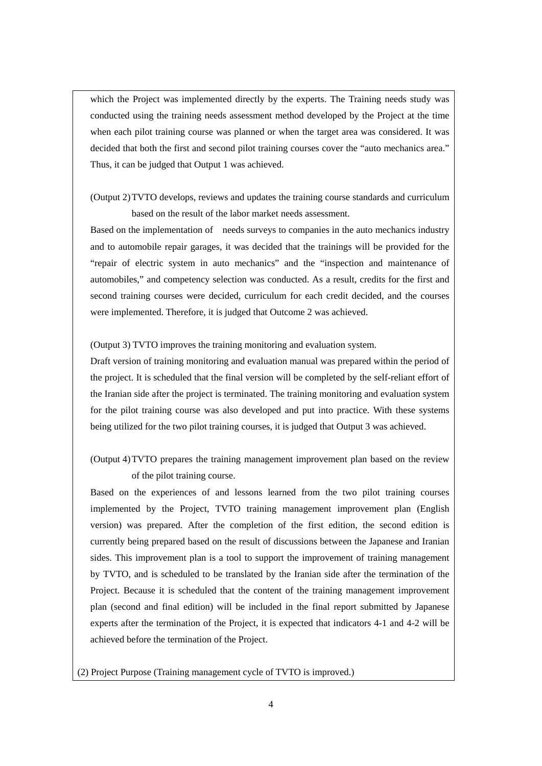which the Project was implemented directly by the experts. The Training needs study was conducted using the training needs assessment method developed by the Project at the time when each pilot training course was planned or when the target area was considered. It was decided that both the first and second pilot training courses cover the "auto mechanics area." Thus, it can be judged that Output 1 was achieved.

# (Output 2)TVTO develops, reviews and updates the training course standards and curriculum based on the result of the labor market needs assessment.

Based on the implementation of needs surveys to companies in the auto mechanics industry and to automobile repair garages, it was decided that the trainings will be provided for the "repair of electric system in auto mechanics" and the "inspection and maintenance of automobiles," and competency selection was conducted. As a result, credits for the first and second training courses were decided, curriculum for each credit decided, and the courses were implemented. Therefore, it is judged that Outcome 2 was achieved.

(Output 3) TVTO improves the training monitoring and evaluation system.

Draft version of training monitoring and evaluation manual was prepared within the period of the project. It is scheduled that the final version will be completed by the self-reliant effort of the Iranian side after the project is terminated. The training monitoring and evaluation system for the pilot training course was also developed and put into practice. With these systems being utilized for the two pilot training courses, it is judged that Output 3 was achieved.

(Output 4)TVTO prepares the training management improvement plan based on the review of the pilot training course.

Based on the experiences of and lessons learned from the two pilot training courses implemented by the Project, TVTO training management improvement plan (English version) was prepared. After the completion of the first edition, the second edition is currently being prepared based on the result of discussions between the Japanese and Iranian sides. This improvement plan is a tool to support the improvement of training management by TVTO, and is scheduled to be translated by the Iranian side after the termination of the Project. Because it is scheduled that the content of the training management improvement plan (second and final edition) will be included in the final report submitted by Japanese experts after the termination of the Project, it is expected that indicators 4-1 and 4-2 will be achieved before the termination of the Project.

(2) Project Purpose (Training management cycle of TVTO is improved.)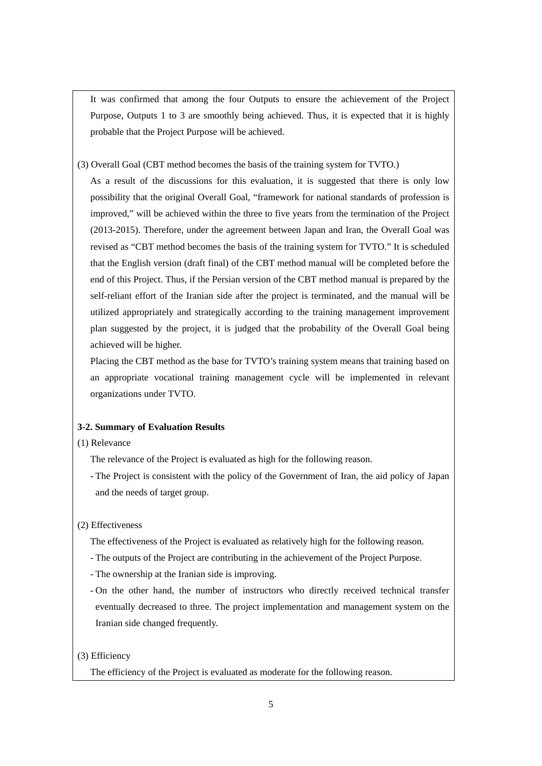It was confirmed that among the four Outputs to ensure the achievement of the Project Purpose, Outputs 1 to 3 are smoothly being achieved. Thus, it is expected that it is highly probable that the Project Purpose will be achieved.

(3) Overall Goal (CBT method becomes the basis of the training system for TVTO.)

As a result of the discussions for this evaluation, it is suggested that there is only low possibility that the original Overall Goal, "framework for national standards of profession is improved," will be achieved within the three to five years from the termination of the Project (2013-2015). Therefore, under the agreement between Japan and Iran, the Overall Goal was revised as "CBT method becomes the basis of the training system for TVTO." It is scheduled that the English version (draft final) of the CBT method manual will be completed before the end of this Project. Thus, if the Persian version of the CBT method manual is prepared by the self-reliant effort of the Iranian side after the project is terminated, and the manual will be utilized appropriately and strategically according to the training management improvement plan suggested by the project, it is judged that the probability of the Overall Goal being achieved will be higher.

Placing the CBT method as the base for TVTO's training system means that training based on an appropriate vocational training management cycle will be implemented in relevant organizations under TVTO.

#### **3-2. Summary of Evaluation Results**

# (1) Relevance

- The relevance of the Project is evaluated as high for the following reason.
- The Project is consistent with the policy of the Government of Iran, the aid policy of Japan and the needs of target group.
- (2) Effectiveness
	- The effectiveness of the Project is evaluated as relatively high for the following reason.
	- The outputs of the Project are contributing in the achievement of the Project Purpose.
	- The ownership at the Iranian side is improving.
	- On the other hand, the number of instructors who directly received technical transfer eventually decreased to three. The project implementation and management system on the Iranian side changed frequently.

#### (3) Efficiency

The efficiency of the Project is evaluated as moderate for the following reason.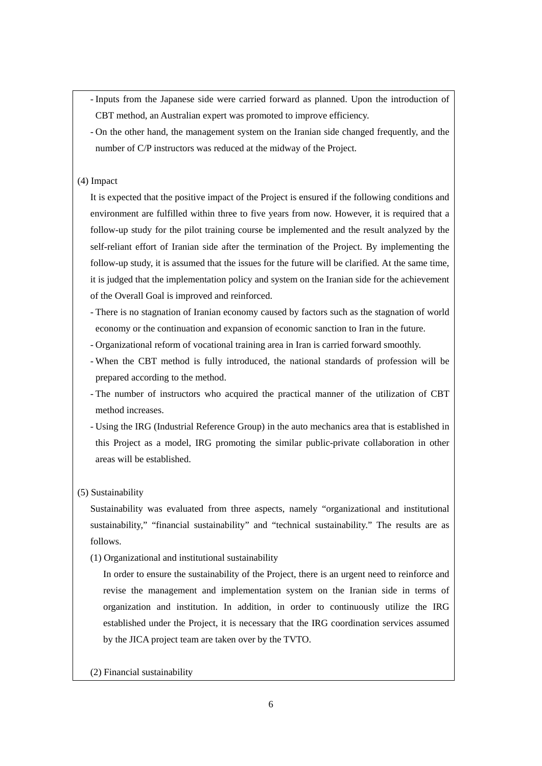- Inputs from the Japanese side were carried forward as planned. Upon the introduction of CBT method, an Australian expert was promoted to improve efficiency.

- On the other hand, the management system on the Iranian side changed frequently, and the number of C/P instructors was reduced at the midway of the Project.

# (4) Impact

It is expected that the positive impact of the Project is ensured if the following conditions and environment are fulfilled within three to five years from now. However, it is required that a follow-up study for the pilot training course be implemented and the result analyzed by the self-reliant effort of Iranian side after the termination of the Project. By implementing the follow-up study, it is assumed that the issues for the future will be clarified. At the same time, it is judged that the implementation policy and system on the Iranian side for the achievement of the Overall Goal is improved and reinforced.

- There is no stagnation of Iranian economy caused by factors such as the stagnation of world economy or the continuation and expansion of economic sanction to Iran in the future.
- Organizational reform of vocational training area in Iran is carried forward smoothly.
- When the CBT method is fully introduced, the national standards of profession will be prepared according to the method.
- The number of instructors who acquired the practical manner of the utilization of CBT method increases.
- Using the IRG (Industrial Reference Group) in the auto mechanics area that is established in this Project as a model, IRG promoting the similar public-private collaboration in other areas will be established.
- (5) Sustainability

Sustainability was evaluated from three aspects, namely "organizational and institutional sustainability," "financial sustainability" and "technical sustainability." The results are as follows.

(1) Organizational and institutional sustainability

In order to ensure the sustainability of the Project, there is an urgent need to reinforce and revise the management and implementation system on the Iranian side in terms of organization and institution. In addition, in order to continuously utilize the IRG established under the Project, it is necessary that the IRG coordination services assumed by the JICA project team are taken over by the TVTO.

(2) Financial sustainability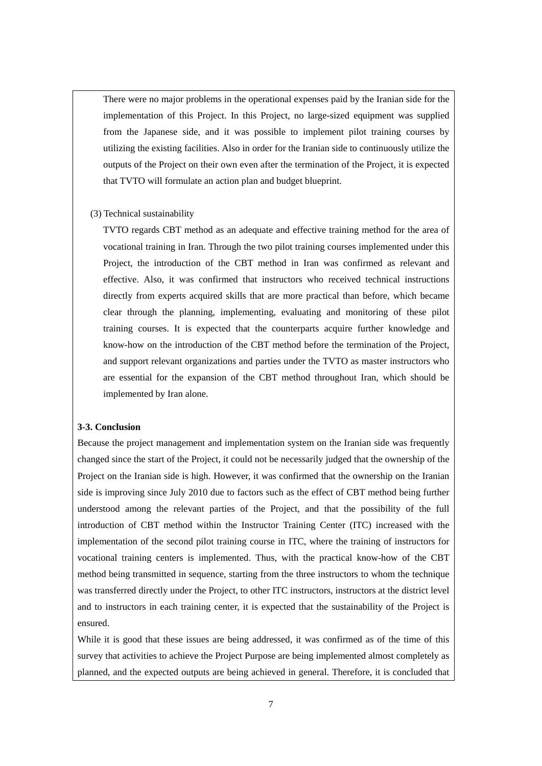There were no major problems in the operational expenses paid by the Iranian side for the implementation of this Project. In this Project, no large-sized equipment was supplied from the Japanese side, and it was possible to implement pilot training courses by utilizing the existing facilities. Also in order for the Iranian side to continuously utilize the outputs of the Project on their own even after the termination of the Project, it is expected that TVTO will formulate an action plan and budget blueprint.

# (3) Technical sustainability

TVTO regards CBT method as an adequate and effective training method for the area of vocational training in Iran. Through the two pilot training courses implemented under this Project, the introduction of the CBT method in Iran was confirmed as relevant and effective. Also, it was confirmed that instructors who received technical instructions directly from experts acquired skills that are more practical than before, which became clear through the planning, implementing, evaluating and monitoring of these pilot training courses. It is expected that the counterparts acquire further knowledge and know-how on the introduction of the CBT method before the termination of the Project, and support relevant organizations and parties under the TVTO as master instructors who are essential for the expansion of the CBT method throughout Iran, which should be implemented by Iran alone.

#### **3-3. Conclusion**

Because the project management and implementation system on the Iranian side was frequently changed since the start of the Project, it could not be necessarily judged that the ownership of the Project on the Iranian side is high. However, it was confirmed that the ownership on the Iranian side is improving since July 2010 due to factors such as the effect of CBT method being further understood among the relevant parties of the Project, and that the possibility of the full introduction of CBT method within the Instructor Training Center (ITC) increased with the implementation of the second pilot training course in ITC, where the training of instructors for vocational training centers is implemented. Thus, with the practical know-how of the CBT method being transmitted in sequence, starting from the three instructors to whom the technique was transferred directly under the Project, to other ITC instructors, instructors at the district level and to instructors in each training center, it is expected that the sustainability of the Project is ensured.

While it is good that these issues are being addressed, it was confirmed as of the time of this survey that activities to achieve the Project Purpose are being implemented almost completely as planned, and the expected outputs are being achieved in general. Therefore, it is concluded that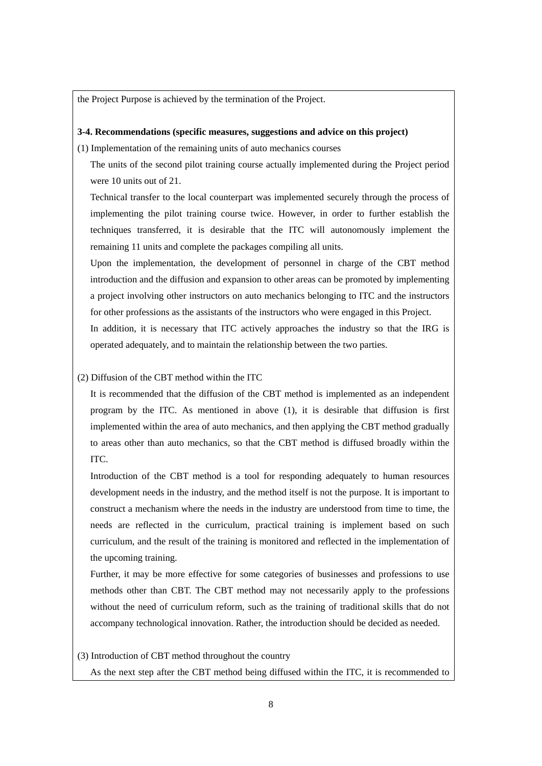the Project Purpose is achieved by the termination of the Project.

#### **3-4. Recommendations (specific measures, suggestions and advice on this project)**

(1) Implementation of the remaining units of auto mechanics courses

The units of the second pilot training course actually implemented during the Project period were 10 units out of 21.

Technical transfer to the local counterpart was implemented securely through the process of implementing the pilot training course twice. However, in order to further establish the techniques transferred, it is desirable that the ITC will autonomously implement the remaining 11 units and complete the packages compiling all units.

Upon the implementation, the development of personnel in charge of the CBT method introduction and the diffusion and expansion to other areas can be promoted by implementing a project involving other instructors on auto mechanics belonging to ITC and the instructors for other professions as the assistants of the instructors who were engaged in this Project. In addition, it is necessary that ITC actively approaches the industry so that the IRG is

operated adequately, and to maintain the relationship between the two parties.

# (2) Diffusion of the CBT method within the ITC

It is recommended that the diffusion of the CBT method is implemented as an independent program by the ITC. As mentioned in above (1), it is desirable that diffusion is first implemented within the area of auto mechanics, and then applying the CBT method gradually to areas other than auto mechanics, so that the CBT method is diffused broadly within the ITC.

Introduction of the CBT method is a tool for responding adequately to human resources development needs in the industry, and the method itself is not the purpose. It is important to construct a mechanism where the needs in the industry are understood from time to time, the needs are reflected in the curriculum, practical training is implement based on such curriculum, and the result of the training is monitored and reflected in the implementation of the upcoming training.

Further, it may be more effective for some categories of businesses and professions to use methods other than CBT. The CBT method may not necessarily apply to the professions without the need of curriculum reform, such as the training of traditional skills that do not accompany technological innovation. Rather, the introduction should be decided as needed.

(3) Introduction of CBT method throughout the country

As the next step after the CBT method being diffused within the ITC, it is recommended to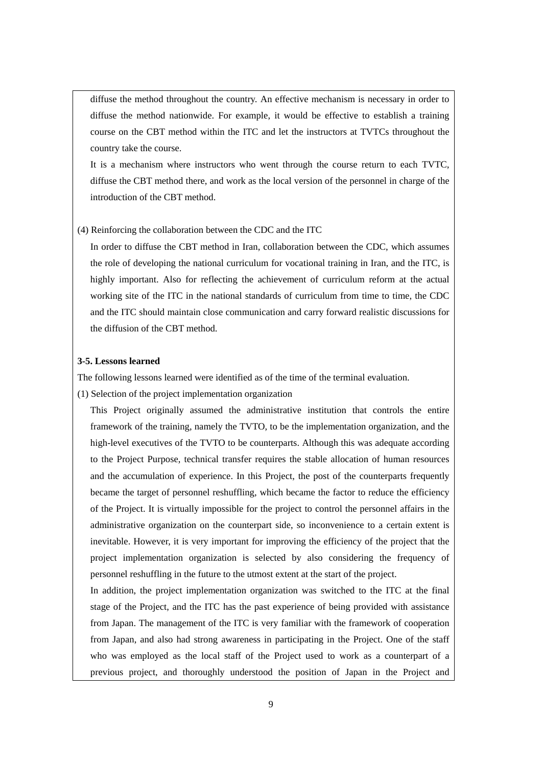diffuse the method throughout the country. An effective mechanism is necessary in order to diffuse the method nationwide. For example, it would be effective to establish a training course on the CBT method within the ITC and let the instructors at TVTCs throughout the country take the course.

It is a mechanism where instructors who went through the course return to each TVTC, diffuse the CBT method there, and work as the local version of the personnel in charge of the introduction of the CBT method.

# (4) Reinforcing the collaboration between the CDC and the ITC

In order to diffuse the CBT method in Iran, collaboration between the CDC, which assumes the role of developing the national curriculum for vocational training in Iran, and the ITC, is highly important. Also for reflecting the achievement of curriculum reform at the actual working site of the ITC in the national standards of curriculum from time to time, the CDC and the ITC should maintain close communication and carry forward realistic discussions for the diffusion of the CBT method.

#### **3-5. Lessons learned**

The following lessons learned were identified as of the time of the terminal evaluation.

(1) Selection of the project implementation organization

This Project originally assumed the administrative institution that controls the entire framework of the training, namely the TVTO, to be the implementation organization, and the high-level executives of the TVTO to be counterparts. Although this was adequate according to the Project Purpose, technical transfer requires the stable allocation of human resources and the accumulation of experience. In this Project, the post of the counterparts frequently became the target of personnel reshuffling, which became the factor to reduce the efficiency of the Project. It is virtually impossible for the project to control the personnel affairs in the administrative organization on the counterpart side, so inconvenience to a certain extent is inevitable. However, it is very important for improving the efficiency of the project that the project implementation organization is selected by also considering the frequency of personnel reshuffling in the future to the utmost extent at the start of the project.

In addition, the project implementation organization was switched to the ITC at the final stage of the Project, and the ITC has the past experience of being provided with assistance from Japan. The management of the ITC is very familiar with the framework of cooperation from Japan, and also had strong awareness in participating in the Project. One of the staff who was employed as the local staff of the Project used to work as a counterpart of a previous project, and thoroughly understood the position of Japan in the Project and